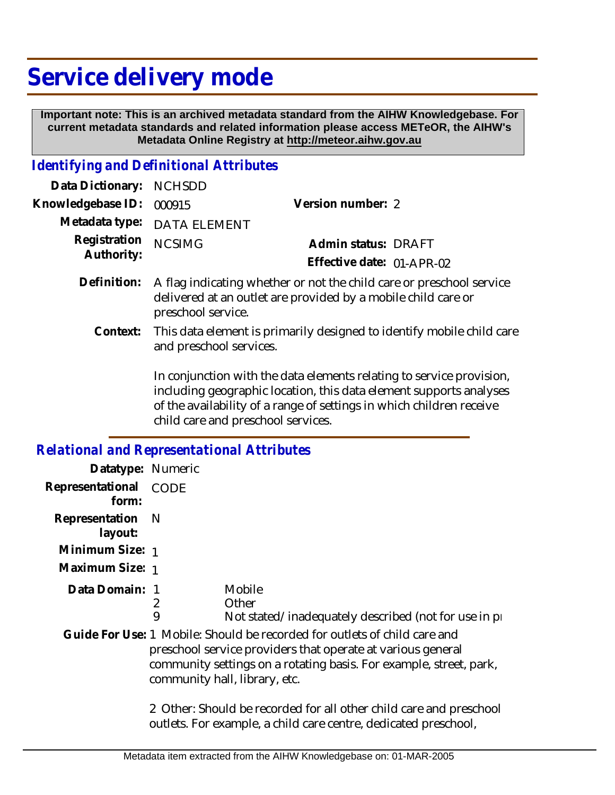## **Service delivery mode**

 **Important note: This is an archived metadata standard from the AIHW Knowledgebase. For current metadata standards and related information please access METeOR, the AIHW's Metadata Online Registry at http://meteor.aihw.gov.au**

## *Identifying and Definitional Attributes*

| Data Dictionary: NCHSDD  |                                                                                       |                           |  |
|--------------------------|---------------------------------------------------------------------------------------|---------------------------|--|
| Knowledgebase ID: 000915 |                                                                                       | Version number: 2         |  |
|                          | Metadata type: DATA ELEMENT                                                           |                           |  |
| Registration NCSIMG      |                                                                                       | Admin status: DRAFT       |  |
| Authority:               |                                                                                       | Effective date: 01-APR-02 |  |
|                          | $\Delta$ finition: $\Delta$ flag indicating whather or not the child care or preschoo |                           |  |

- Definition: A flag indicating whether or not the child care or preschool service delivered at an outlet are provided by a mobile child care or preschool service.
	- This data element is primarily designed to identify mobile child care and preschool services. **Context:**

In conjunction with the data elements relating to service provision, including geographic location, this data element supports analyses of the availability of a range of settings in which children receive child care and preschool services.

## *Relational and Representational Attributes*

| Datatype: Numeric                                                                                                                                                                                                                               |                                                                                                                                       |                                                                           |
|-------------------------------------------------------------------------------------------------------------------------------------------------------------------------------------------------------------------------------------------------|---------------------------------------------------------------------------------------------------------------------------------------|---------------------------------------------------------------------------|
| Representational CODE<br>form:                                                                                                                                                                                                                  |                                                                                                                                       |                                                                           |
| Representation<br>layout:                                                                                                                                                                                                                       | - N                                                                                                                                   |                                                                           |
| Minimum Size: 1                                                                                                                                                                                                                                 |                                                                                                                                       |                                                                           |
| Maximum Size: 1                                                                                                                                                                                                                                 |                                                                                                                                       |                                                                           |
| Data Domain: 1                                                                                                                                                                                                                                  | 2<br>9                                                                                                                                | Mobile<br>Other<br>Not stated/inadequately described (not for use in pro- |
| Guide For Use: 1 Mobile: Should be recorded for outlets of child care and<br>preschool service providers that operate at various general<br>community settings on a rotating basis. For example, street, park,<br>community hall, library, etc. |                                                                                                                                       |                                                                           |
|                                                                                                                                                                                                                                                 | 2 Other: Should be recorded for all other child care and preschool<br>outlets. For example, a child care centre, dedicated preschool, |                                                                           |